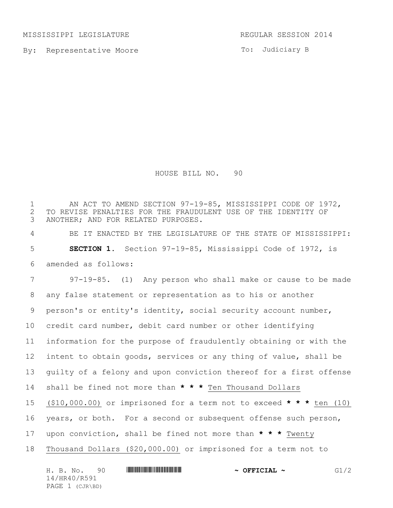MISSISSIPPI LEGISLATURE **REGULAR SESSION 2014** 

14/HR40/R591 PAGE 1 (CJR\BD)

By: Representative Moore

To: Judiciary B

HOUSE BILL NO. 90

H. B. No. 90 **HR40 And All 200 Females ~ OFFICIAL ~** G1/2 1 AN ACT TO AMEND SECTION 97-19-85, MISSISSIPPI CODE OF 1972, 2 TO REVISE PENALTIES FOR THE FRAUDULENT USE OF THE IDENTITY OF<br>3 ANOTHER; AND FOR RELATED PURPOSES. ANOTHER; AND FOR RELATED PURPOSES. BE IT ENACTED BY THE LEGISLATURE OF THE STATE OF MISSISSIPPI: **SECTION 1.** Section 97-19-85, Mississippi Code of 1972, is amended as follows: 97-19-85. (1) Any person who shall make or cause to be made any false statement or representation as to his or another person's or entity's identity, social security account number, credit card number, debit card number or other identifying information for the purpose of fraudulently obtaining or with the intent to obtain goods, services or any thing of value, shall be guilty of a felony and upon conviction thereof for a first offense shall be fined not more than **\* \* \*** Ten Thousand Dollars (\$10,000.00) or imprisoned for a term not to exceed **\* \* \*** ten (10) years, or both. For a second or subsequent offense such person, upon conviction, shall be fined not more than **\* \* \*** Twenty Thousand Dollars (\$20,000.00) or imprisoned for a term not to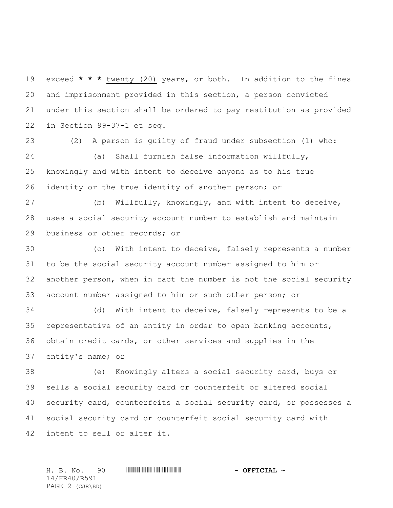exceed **\* \* \*** twenty (20) years, or both. In addition to the fines and imprisonment provided in this section, a person convicted under this section shall be ordered to pay restitution as provided in Section 99-37-1 et seq.

 (2) A person is guilty of fraud under subsection (1) who: (a) Shall furnish false information willfully, knowingly and with intent to deceive anyone as to his true identity or the true identity of another person; or

 (b) Willfully, knowingly, and with intent to deceive, uses a social security account number to establish and maintain business or other records; or

 (c) With intent to deceive, falsely represents a number to be the social security account number assigned to him or another person, when in fact the number is not the social security account number assigned to him or such other person; or

 (d) With intent to deceive, falsely represents to be a representative of an entity in order to open banking accounts, obtain credit cards, or other services and supplies in the entity's name; or

 (e) Knowingly alters a social security card, buys or sells a social security card or counterfeit or altered social security card, counterfeits a social security card, or possesses a social security card or counterfeit social security card with intent to sell or alter it.

14/HR40/R591 PAGE 2 (CJR\BD)

H. B. No. 90 \*HR40/R591\* **~ OFFICIAL ~**